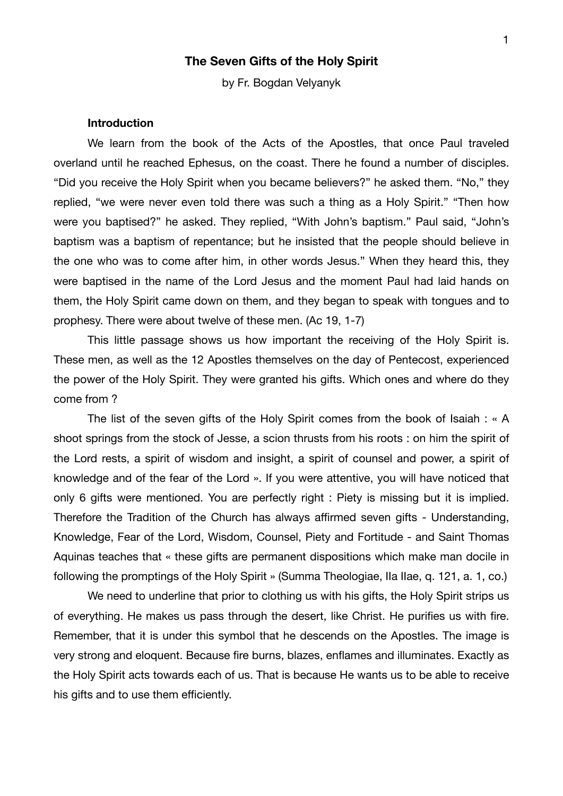# **The Seven Gifts of the Holy Spirit**

by Fr. Bogdan Velyanyk

## **Introduction**

We learn from the book of the Acts of the Apostles, that once Paul traveled overland until he reached Ephesus, on the coast. There he found a number of disciples. "Did you receive the Holy Spirit when you became believers?" he asked them. "No," they replied, "we were never even told there was such a thing as a Holy Spirit." "Then how were you baptised?" he asked. They replied, "With John's baptism." Paul said, "John's baptism was a baptism of repentance; but he insisted that the people should believe in the one who was to come after him, in other words Jesus." When they heard this, they were baptised in the name of the Lord Jesus and the moment Paul had laid hands on them, the Holy Spirit came down on them, and they began to speak with tongues and to prophesy. There were about twelve of these men. (Ac 19, 1-7)

This little passage shows us how important the receiving of the Holy Spirit is. These men, as well as the 12 Apostles themselves on the day of Pentecost, experienced the power of the Holy Spirit. They were granted his gifts. Which ones and where do they come from ?

The list of the seven gifts of the Holy Spirit comes from the book of Isaiah : « A shoot springs from the stock of Jesse, a scion thrusts from his roots : on him the spirit of the Lord rests, a spirit of wisdom and insight, a spirit of counsel and power, a spirit of knowledge and of the fear of the Lord ». If you were attentive, you will have noticed that only 6 gifts were mentioned. You are perfectly right : Piety is missing but it is implied. Therefore the Tradition of the Church has always affirmed seven gifts - Understanding, Knowledge, Fear of the Lord, Wisdom, Counsel, Piety and Fortitude - and Saint Thomas Aquinas teaches that « these gifts are permanent dispositions which make man docile in following the promptings of the Holy Spirit » (Summa Theologiae, IIa IIae, q. 121, a. 1, co.)

We need to underline that prior to clothing us with his gifts, the Holy Spirit strips us of everything. He makes us pass through the desert, like Christ. He purifies us with fire. Remember, that it is under this symbol that he descends on the Apostles. The image is very strong and eloquent. Because fire burns, blazes, enflames and illuminates. Exactly as the Holy Spirit acts towards each of us. That is because He wants us to be able to receive his gifts and to use them efficiently.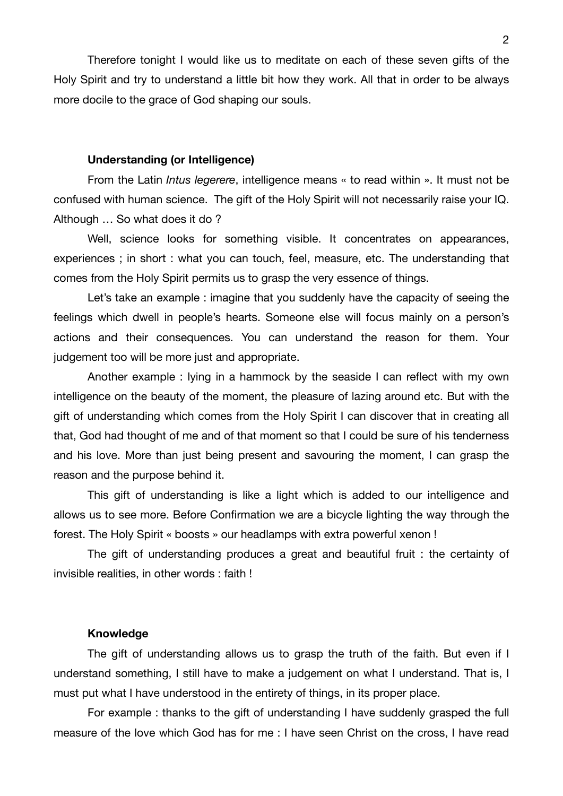Therefore tonight I would like us to meditate on each of these seven gifts of the Holy Spirit and try to understand a little bit how they work. All that in order to be always more docile to the grace of God shaping our souls.

## **Understanding (or Intelligence)**

From the Latin *Intus legerere*, intelligence means « to read within ». It must not be confused with human science. The gift of the Holy Spirit will not necessarily raise your IQ. Although … So what does it do ?

Well, science looks for something visible. It concentrates on appearances, experiences ; in short : what you can touch, feel, measure, etc. The understanding that comes from the Holy Spirit permits us to grasp the very essence of things.

Let's take an example : imagine that you suddenly have the capacity of seeing the feelings which dwell in people's hearts. Someone else will focus mainly on a person's actions and their consequences. You can understand the reason for them. Your judgement too will be more just and appropriate.

Another example : lying in a hammock by the seaside I can reflect with my own intelligence on the beauty of the moment, the pleasure of lazing around etc. But with the gift of understanding which comes from the Holy Spirit I can discover that in creating all that, God had thought of me and of that moment so that I could be sure of his tenderness and his love. More than just being present and savouring the moment, I can grasp the reason and the purpose behind it.

This gift of understanding is like a light which is added to our intelligence and allows us to see more. Before Confirmation we are a bicycle lighting the way through the forest. The Holy Spirit « boosts » our headlamps with extra powerful xenon !

The gift of understanding produces a great and beautiful fruit : the certainty of invisible realities, in other words : faith !

#### **Knowledge**

The gift of understanding allows us to grasp the truth of the faith. But even if I understand something, I still have to make a judgement on what I understand. That is, I must put what I have understood in the entirety of things, in its proper place.

For example : thanks to the gift of understanding I have suddenly grasped the full measure of the love which God has for me : I have seen Christ on the cross, I have read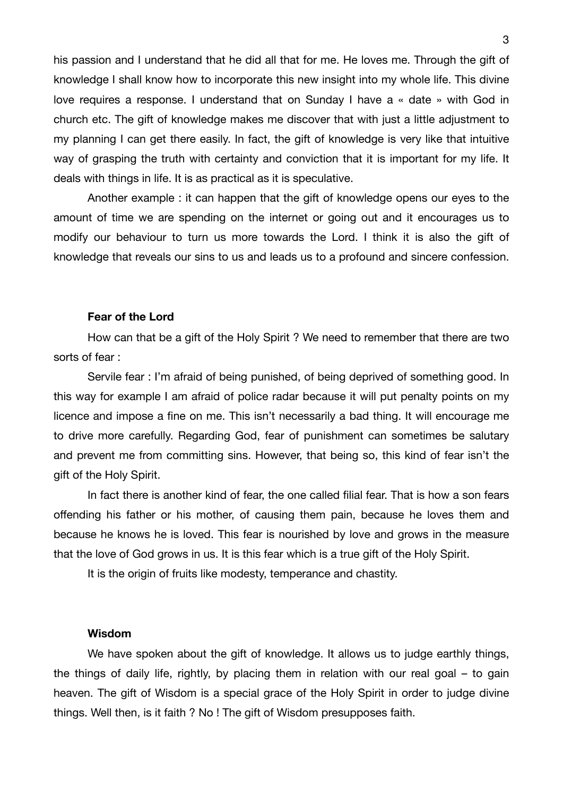his passion and I understand that he did all that for me. He loves me. Through the gift of knowledge I shall know how to incorporate this new insight into my whole life. This divine love requires a response. I understand that on Sunday I have a « date » with God in church etc. The gift of knowledge makes me discover that with just a little adjustment to my planning I can get there easily. In fact, the gift of knowledge is very like that intuitive way of grasping the truth with certainty and conviction that it is important for my life. It deals with things in life. It is as practical as it is speculative.

Another example : it can happen that the gift of knowledge opens our eyes to the amount of time we are spending on the internet or going out and it encourages us to modify our behaviour to turn us more towards the Lord. I think it is also the gift of knowledge that reveals our sins to us and leads us to a profound and sincere confession.

## **Fear of the Lord**

How can that be a gift of the Holy Spirit ? We need to remember that there are two sorts of fear :

Servile fear : I'm afraid of being punished, of being deprived of something good. In this way for example I am afraid of police radar because it will put penalty points on my licence and impose a fine on me. This isn't necessarily a bad thing. It will encourage me to drive more carefully. Regarding God, fear of punishment can sometimes be salutary and prevent me from committing sins. However, that being so, this kind of fear isn't the gift of the Holy Spirit.

In fact there is another kind of fear, the one called filial fear. That is how a son fears offending his father or his mother, of causing them pain, because he loves them and because he knows he is loved. This fear is nourished by love and grows in the measure that the love of God grows in us. It is this fear which is a true gift of the Holy Spirit.

It is the origin of fruits like modesty, temperance and chastity.

#### **Wisdom**

We have spoken about the gift of knowledge. It allows us to judge earthly things, the things of daily life, rightly, by placing them in relation with our real goal – to gain heaven. The gift of Wisdom is a special grace of the Holy Spirit in order to judge divine things. Well then, is it faith ? No ! The gift of Wisdom presupposes faith.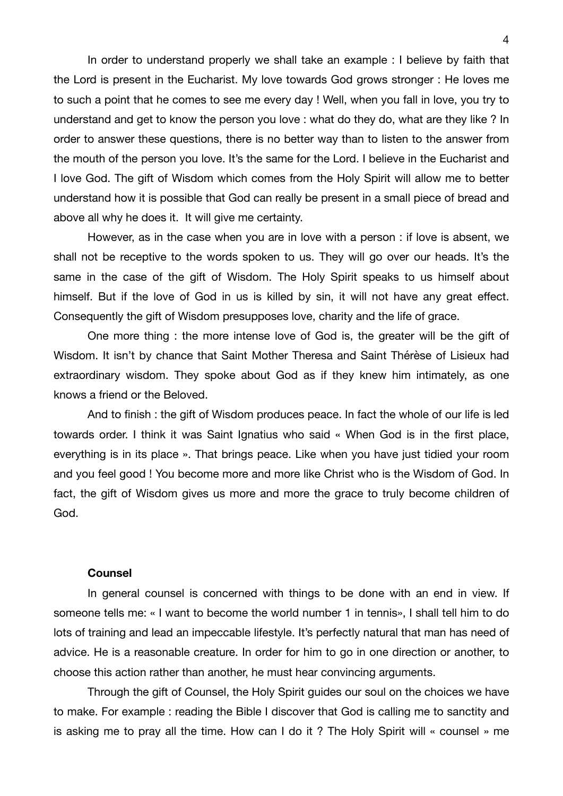In order to understand properly we shall take an example : I believe by faith that the Lord is present in the Eucharist. My love towards God grows stronger : He loves me to such a point that he comes to see me every day ! Well, when you fall in love, you try to understand and get to know the person you love : what do they do, what are they like ? In order to answer these questions, there is no better way than to listen to the answer from the mouth of the person you love. It's the same for the Lord. I believe in the Eucharist and I love God. The gift of Wisdom which comes from the Holy Spirit will allow me to better understand how it is possible that God can really be present in a small piece of bread and above all why he does it. It will give me certainty.

However, as in the case when you are in love with a person : if love is absent, we shall not be receptive to the words spoken to us. They will go over our heads. It's the same in the case of the gift of Wisdom. The Holy Spirit speaks to us himself about himself. But if the love of God in us is killed by sin, it will not have any great effect. Consequently the gift of Wisdom presupposes love, charity and the life of grace.

One more thing : the more intense love of God is, the greater will be the gift of Wisdom. It isn't by chance that Saint Mother Theresa and Saint Thérèse of Lisieux had extraordinary wisdom. They spoke about God as if they knew him intimately, as one knows a friend or the Beloved.

And to finish : the gift of Wisdom produces peace. In fact the whole of our life is led towards order. I think it was Saint Ignatius who said « When God is in the first place, everything is in its place ». That brings peace. Like when you have just tidied your room and you feel good ! You become more and more like Christ who is the Wisdom of God. In fact, the gift of Wisdom gives us more and more the grace to truly become children of God.

#### **Counsel**

In general counsel is concerned with things to be done with an end in view. If someone tells me: « I want to become the world number 1 in tennis», I shall tell him to do lots of training and lead an impeccable lifestyle. It's perfectly natural that man has need of advice. He is a reasonable creature. In order for him to go in one direction or another, to choose this action rather than another, he must hear convincing arguments.

Through the gift of Counsel, the Holy Spirit guides our soul on the choices we have to make. For example : reading the Bible I discover that God is calling me to sanctity and is asking me to pray all the time. How can I do it ? The Holy Spirit will « counsel » me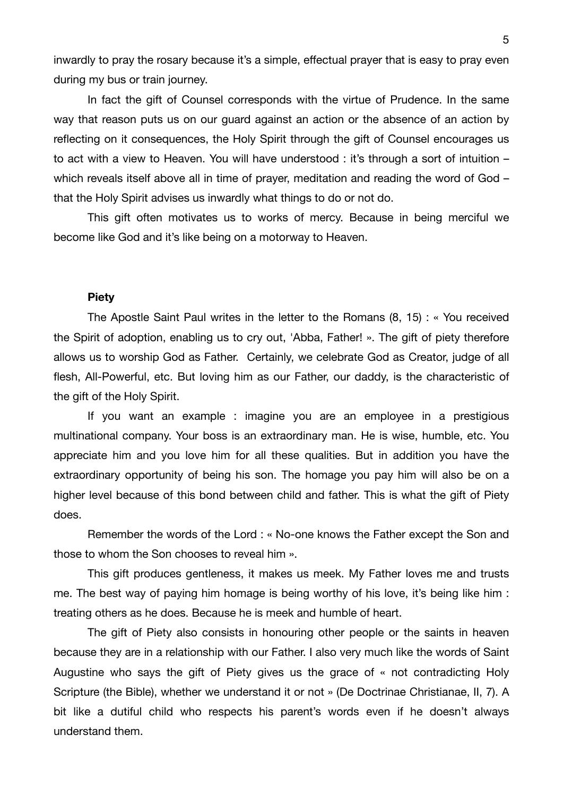inwardly to pray the rosary because it's a simple, effectual prayer that is easy to pray even during my bus or train journey.

In fact the gift of Counsel corresponds with the virtue of Prudence. In the same way that reason puts us on our guard against an action or the absence of an action by reflecting on it consequences, the Holy Spirit through the gift of Counsel encourages us to act with a view to Heaven. You will have understood : it's through a sort of intuition – which reveals itself above all in time of prayer, meditation and reading the word of God – that the Holy Spirit advises us inwardly what things to do or not do.

This gift often motivates us to works of mercy. Because in being merciful we become like God and it's like being on a motorway to Heaven.

## **Piety**

The Apostle Saint Paul writes in the letter to the Romans (8, 15) : « You received the Spirit of adoption, enabling us to cry out, 'Abba, Father! ». The gift of piety therefore allows us to worship God as Father. Certainly, we celebrate God as Creator, judge of all flesh, All-Powerful, etc. But loving him as our Father, our daddy, is the characteristic of the gift of the Holy Spirit.

If you want an example : imagine you are an employee in a prestigious multinational company. Your boss is an extraordinary man. He is wise, humble, etc. You appreciate him and you love him for all these qualities. But in addition you have the extraordinary opportunity of being his son. The homage you pay him will also be on a higher level because of this bond between child and father. This is what the gift of Piety does.

Remember the words of the Lord : « No-one knows the Father except the Son and those to whom the Son chooses to reveal him ».

This gift produces gentleness, it makes us meek. My Father loves me and trusts me. The best way of paying him homage is being worthy of his love, it's being like him : treating others as he does. Because he is meek and humble of heart.

The gift of Piety also consists in honouring other people or the saints in heaven because they are in a relationship with our Father. I also very much like the words of Saint Augustine who says the gift of Piety gives us the grace of « not contradicting Holy Scripture (the Bible), whether we understand it or not » (De Doctrinae Christianae, II, 7). A bit like a dutiful child who respects his parent's words even if he doesn't always understand them.